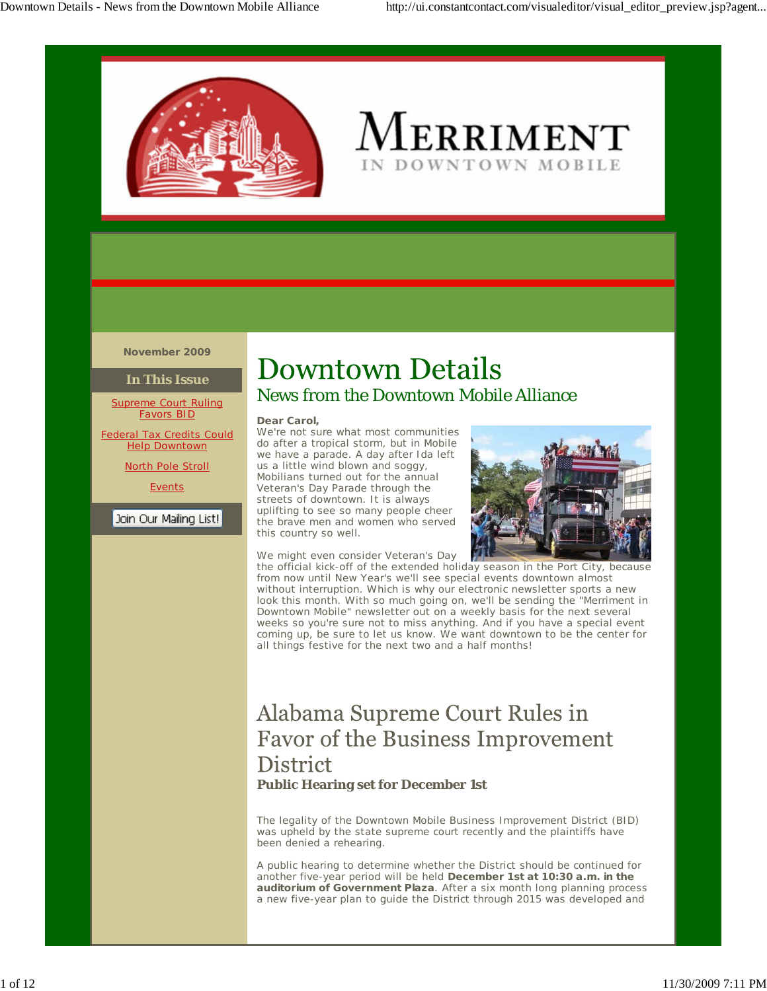

# $M$ erriment DOWNTOWN MOBILE

**November 2009**

#### **In This Issue**

Supreme Court Ruling Favors BID

**Federal Tax Credits Could Help Downtown** 

North Pole Stroll

**Events** 

Join Our Mailing List!

# **Downtown Details**

### News from the Downtown Mobile Alliance

#### **Dear Carol,**

We're not sure what most communities do after a tropical storm, but in Mobile we have a parade. A day after Ida left us a little wind blown and soggy, Mobilians turned out for the annual Veteran's Day Parade through the streets of downtown. It is always uplifting to see so many people cheer the brave men and women who served this country so well.



We might even consider Veteran's Day the official kick-off of the extended holiday season in the Port City, because from now until New Year's we'll see special events downtown almost

without interruption. Which is why our electronic newsletter sports a new look this month. With so much going on, we'll be sending the "Merriment in Downtown Mobile" newsletter out on a weekly basis for the next several weeks so you're sure not to miss anything. And if you have a special event coming up, be sure to let us know. We want downtown to be the center for all things festive for the next two and a half months!

## Alabama Supreme Court Rules in **Favor of the Business Improvement District Public Hearing set for December 1st**

The legality of the Downtown Mobile Business Improvement District (BID) was upheld by the state supreme court recently and the plaintiffs have been denied a rehearing.

A public hearing to determine whether the District should be continued for another five-year period will be held **December 1st at 10:30 a.m. in the auditorium of Government Plaza**. After a six month long planning process a new five-year plan to guide the District through 2015 was developed and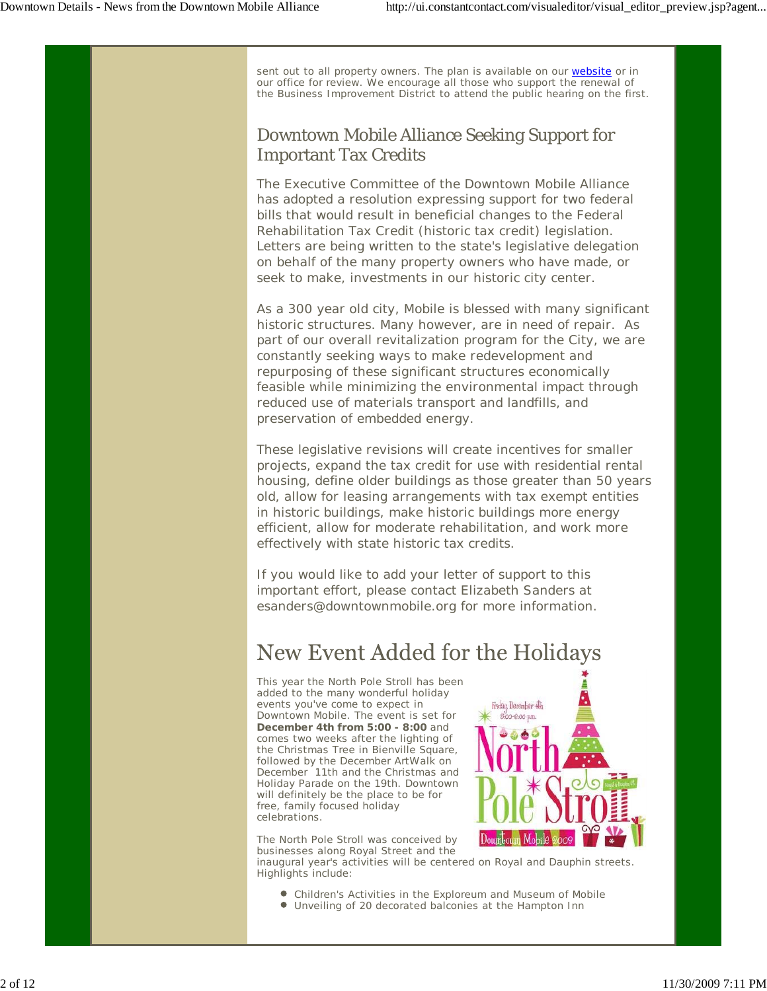sent out to all property owners. The plan is available on our website or in our office for review. We encourage all those who support the renewal of the Business Improvement District to attend the public hearing on the first.

### Downtown Mobile Alliance Seeking Support for Important Tax Credits

The Executive Committee of the Downtown Mobile Alliance has adopted a resolution expressing support for two federal bills that would result in beneficial changes to the Federal Rehabilitation Tax Credit (historic tax credit) legislation. Letters are being written to the state's legislative delegation on behalf of the many property owners who have made, or seek to make, investments in our historic city center.

As a 300 year old city, Mobile is blessed with many significant historic structures. Many however, are in need of repair. As part of our overall revitalization program for the City, we are constantly seeking ways to make redevelopment and repurposing of these significant structures economically feasible while minimizing the environmental impact through reduced use of materials transport and landfills, and preservation of embedded energy.

These legislative revisions will create incentives for smaller projects, expand the tax credit for use with residential rental housing, define older buildings as those greater than 50 years old, allow for leasing arrangements with tax exempt entities in historic buildings, make historic buildings more energy efficient, allow for moderate rehabilitation, and work more effectively with state historic tax credits.

If you would like to add your letter of support to this important effort, please contact Elizabeth Sanders at esanders@downtownmobile.org for more information.

# New Event Added for the Holidays

This year the North Pole Stroll has been added to the many wonderful holiday events you've come to expect in Downtown Mobile. The event is set for **December 4th from 5:00 - 8:00** and comes two weeks after the lighting of the Christmas Tree in Bienville Square, followed by the December ArtWalk on December 11th and the Christmas and Holiday Parade on the 19th. Downtown will definitely be the place to be for free, family focused holiday celebrations.



The North Pole Stroll was conceived by businesses along Royal Street and the

inaugural year's activities will be centered on Royal and Dauphin streets. Highlights include:

- Children's Activities in the Exploreum and Museum of Mobile
- Unveiling of 20 decorated balconies at the Hampton Inn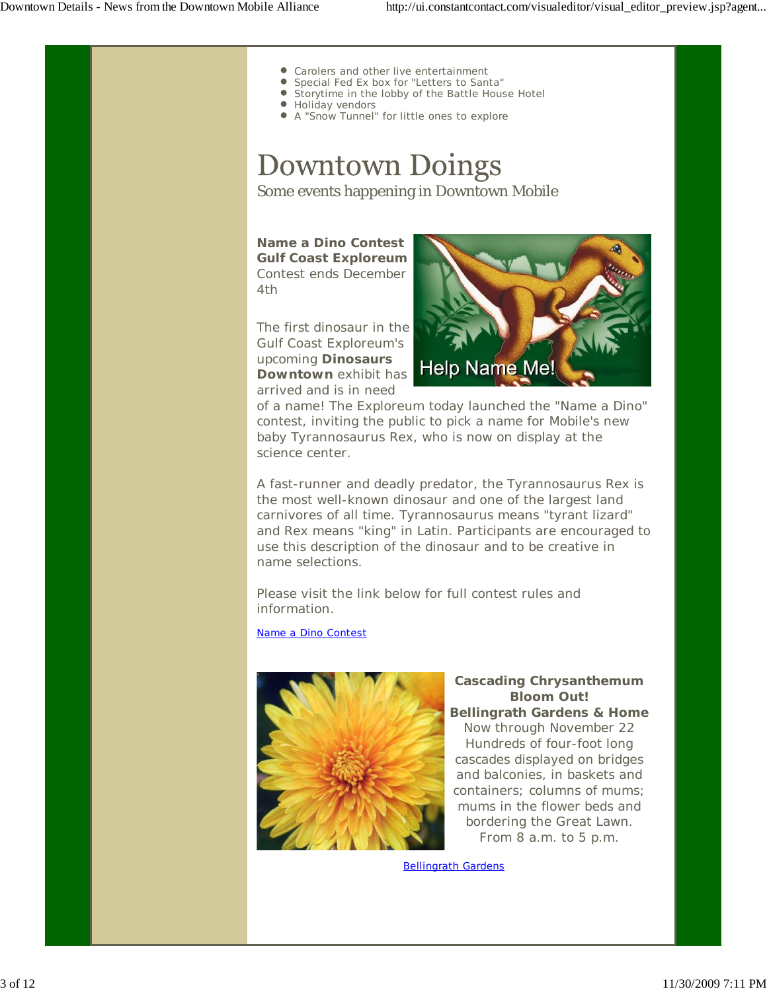- Carolers and other live entertainment
- Special Fed Ex box for "Letters to Santa"
- Storytime in the lobby of the Battle House Hotel
- **Holiday vendors**
- A "Snow Tunnel" for little ones to explore

# **Downtown Doings**

Some events happening in Downtown Mobile

*Name a Dino Contest* **Gulf Coast Exploreum** Contest ends December 4th

The first dinosaur in the Gulf Coast Exploreum's upcoming *Dinosaurs Downtown* exhibit has arrived and is in need



of a name! The Exploreum today launched the "Name a Dino" contest, inviting the public to pick a name for Mobile's new baby Tyrannosaurus Rex, who is now on display at the science center.

A fast-runner and deadly predator, the Tyrannosaurus Rex is the most well-known dinosaur and one of the largest land carnivores of all time. Tyrannosaurus means "tyrant lizard" and Rex means "king" in Latin. Participants are encouraged to use this description of the dinosaur and to be creative in name selections.

Please visit the link below for full contest rules and information.

Name a Dino Contest



*Cascading Chrysanthemum Bloom Out!* **Bellingrath Gardens & Home** Now through November 22 Hundreds of four-foot long cascades displayed on bridges and balconies, in baskets and containers; columns of mums; mums in the flower beds and bordering the Great Lawn. From 8 a.m. to 5 p.m.

Bellingrath Gardens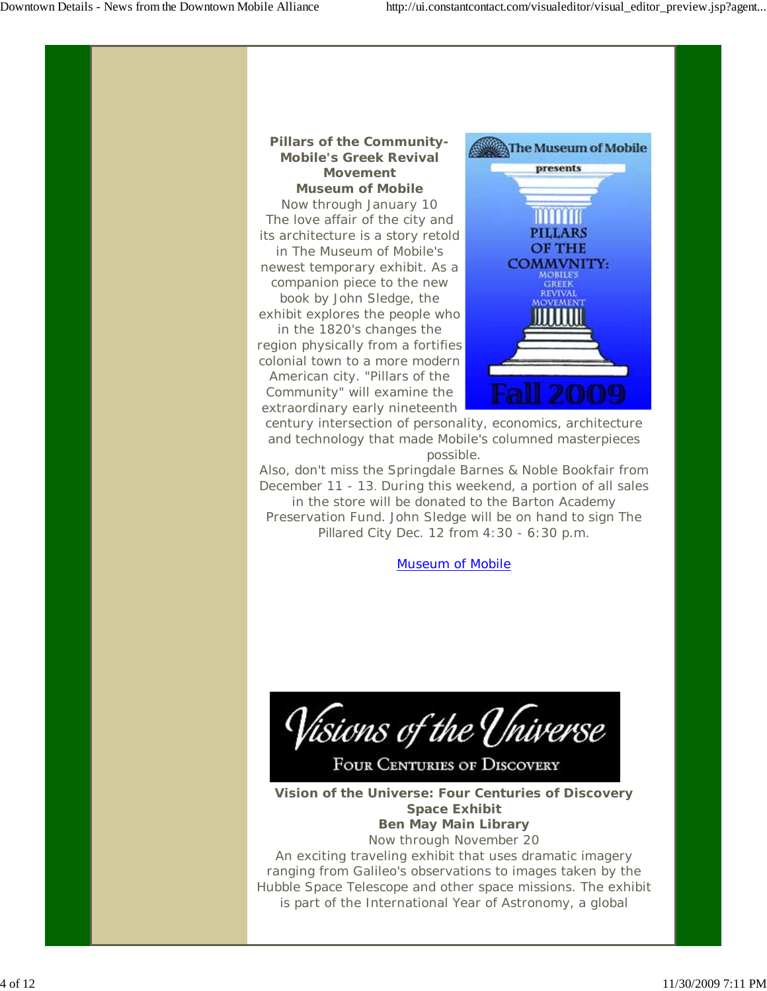#### *Pillars of the Community-Mobile's Greek Revival Movement* **Museum of Mobile**

Now through January 10 The love affair of the city and its architecture is a story retold in The Museum of Mobile's newest temporary exhibit. As a companion piece to the new book by John Sledge, the exhibit explores the people who in the 1820's changes the region physically from a fortifies colonial town to a more modern American city. "Pillars of the

Community" will examine the extraordinary early nineteenth



century intersection of personality, economics, architecture and technology that made Mobile's columned masterpieces possible.

Also, don't miss the Springdale Barnes & Noble Bookfair from December 11 - 13. During this weekend, a portion of all sales in the store will be donated to the Barton Academy Preservation Fund. John Sledge will be on hand to sign *The Pillared City* Dec. 12 from 4:30 - 6:30 p.m.

Museum of Mobile



**FOUR CENTURIES OF DISCOVERY** 

*Vision of the Universe: Four Centuries of Discovery Space Exhibit* **Ben May Main Library** Now through November 20

An exciting traveling exhibit that uses dramatic imagery ranging from Galileo's observations to images taken by the Hubble Space Telescope and other space missions. The exhibit is part of the International Year of Astronomy, a global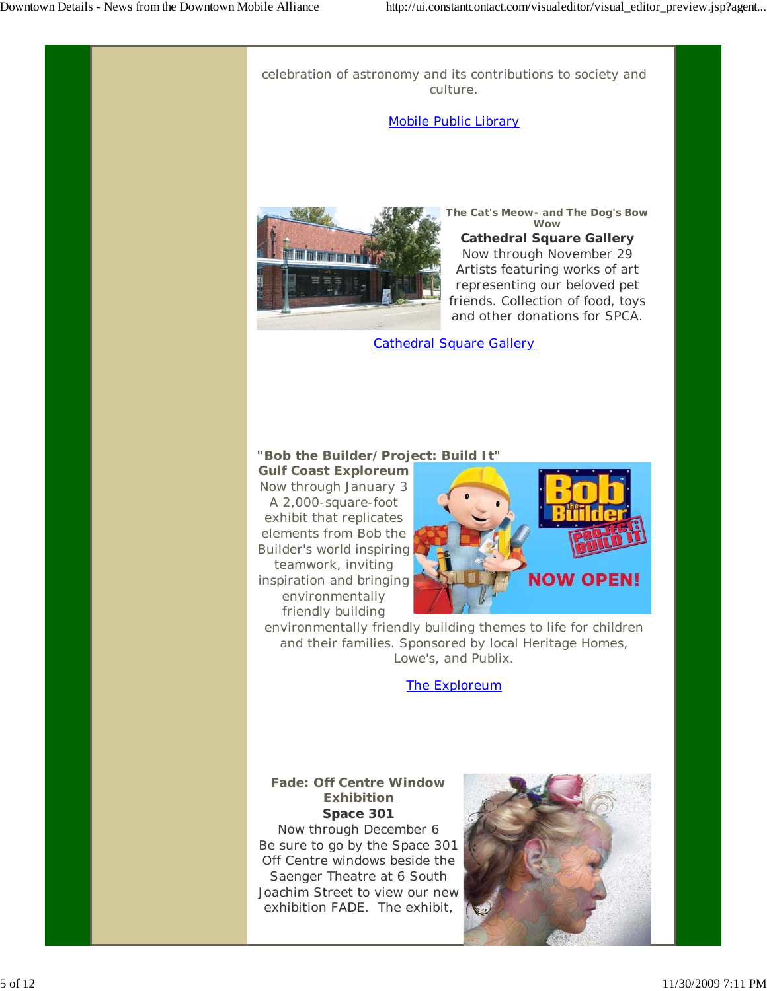celebration of astronomy and its contributions to society and culture.

#### Mobile Public Library



*The Cat's Meow- and The Dog's Bow Wow*

**Cathedral Square Gallery** Now through November 29 Artists featuring works of art representing our beloved pet friends. Collection of food, toys and other donations for SPCA.

Cathedral Square Gallery

#### *"Bob the Builder/Project: Build It"*

**Gulf Coast Exploreum** Now through January 3 A 2,000-square-foot exhibit that replicates elements from Bob the Builder's world inspiring teamwork, inviting inspiration and bringing environmentally friendly building



environmentally friendly building themes to life for children and their families. Sponsored by local Heritage Homes, Lowe's, and Publix.

#### The Exploreum

*Fade: Off Centre Window Exhibition* **Space 301** Now through December 6 Be sure to go by the Space 301 Off Centre windows beside the Saenger Theatre at 6 South Joachim Street to view our new exhibition FADE. The exhibit,

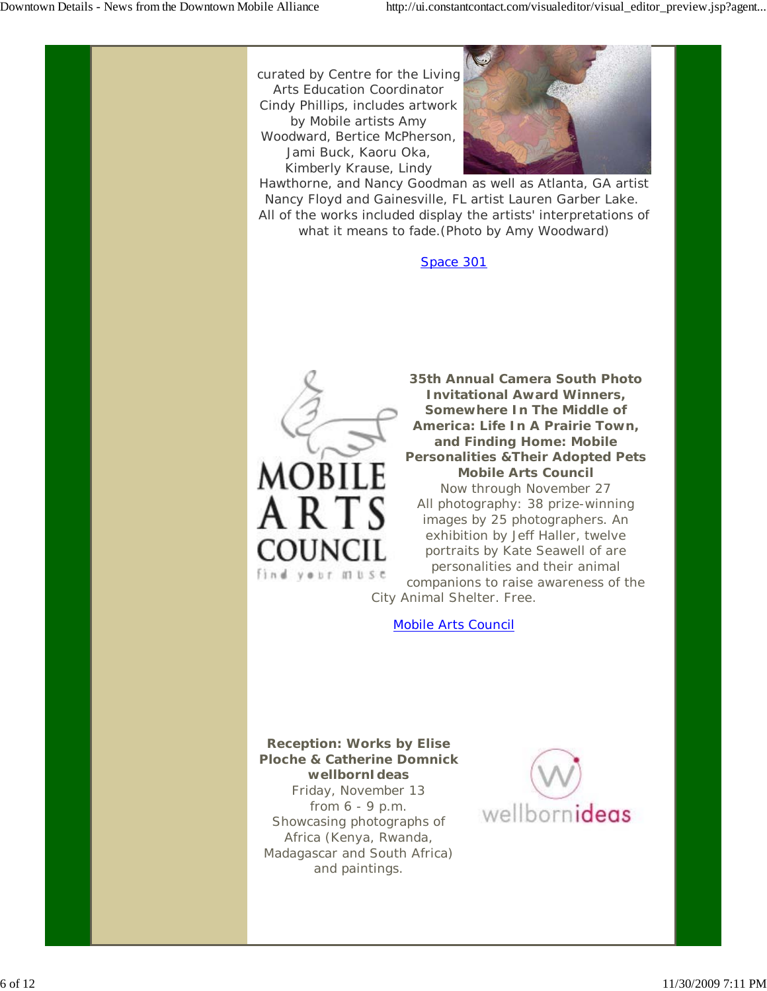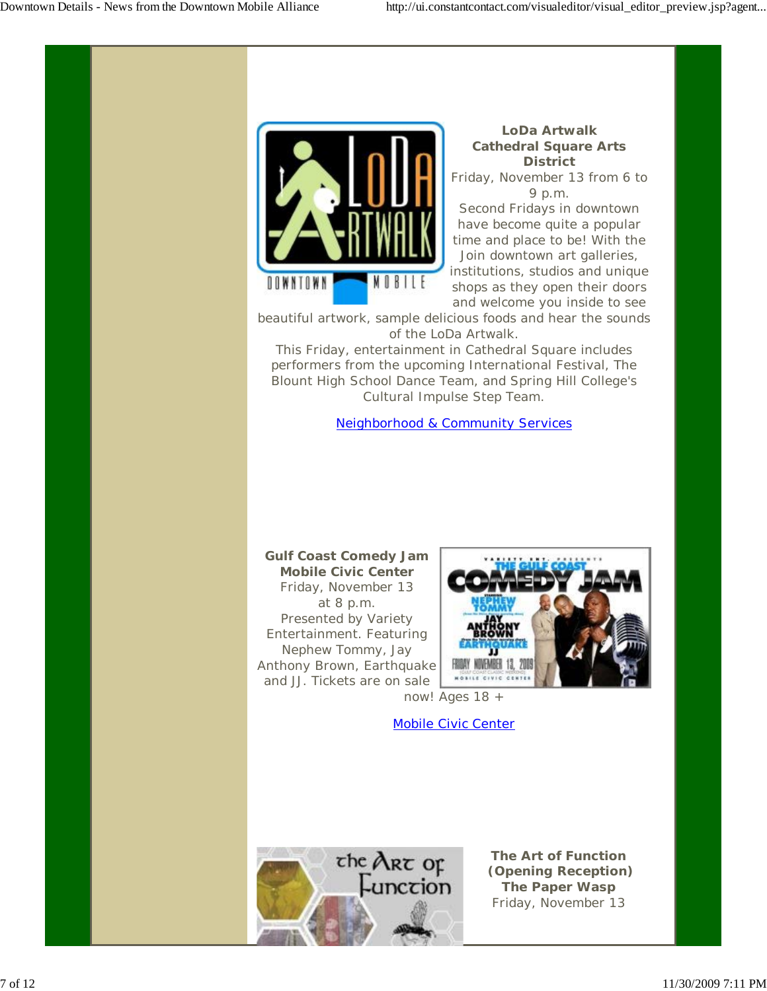

### *LoDa Artwalk* **Cathedral Square Arts District**

Friday, November 13 from 6 to 9 p.m.

Second Fridays in downtown have become quite a popular time and place to be! With the Join downtown art galleries, institutions, studios and unique shops as they open their doors and welcome you inside to see

beautiful artwork, sample delicious foods and hear the sounds of the LoDa Artwalk.

This Friday, entertainment in Cathedral Square includes performers from the upcoming International Festival, The Blount High School Dance Team, and Spring Hill College's Cultural Impulse Step Team.

Neighborhood & Community Services

#### *Gulf Coast Comedy Jam* **Mobile Civic Center** Friday, November 13 at 8 p.m. Presented by Variety Entertainment. Featuring Nephew Tommy, Jay Anthony Brown, Earthquake and JJ. Tickets are on sale



now! Ages 18 +

Mobile Civic Center



*The Art of Function (Opening Reception)* **The Paper Wasp** Friday, November 13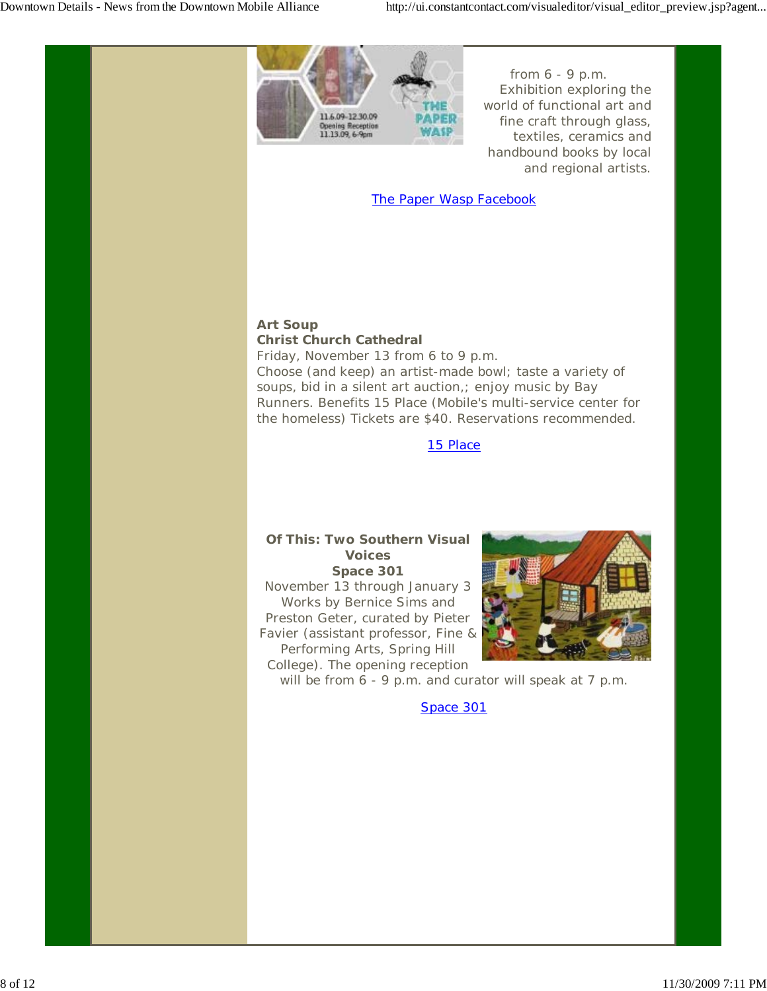

from 6 - 9 p.m. Exhibition exploring the world of functional art and fine craft through glass, textiles, ceramics and handbound books by local and regional artists.

#### The Paper Wasp Facebook

#### *Art Soup* **Christ Church Cathedral**

Friday, November 13 from 6 to 9 p.m. Choose (and keep) an artist-made bowl; taste a variety of soups, bid in a silent art auction,; enjoy music by Bay Runners. Benefits 15 Place (Mobile's multi-service center for the homeless) Tickets are \$40. Reservations recommended.

#### 15 Place

### *Of This: Two Southern Visual Voices*

**Space 301** November 13 through January 3 Works by Bernice Sims and Preston Geter, curated by Pieter Favier (assistant professor, Fine & Performing Arts, Spring Hill College). The opening reception



will be from 6 - 9 p.m. and curator will speak at 7 p.m.

Space 301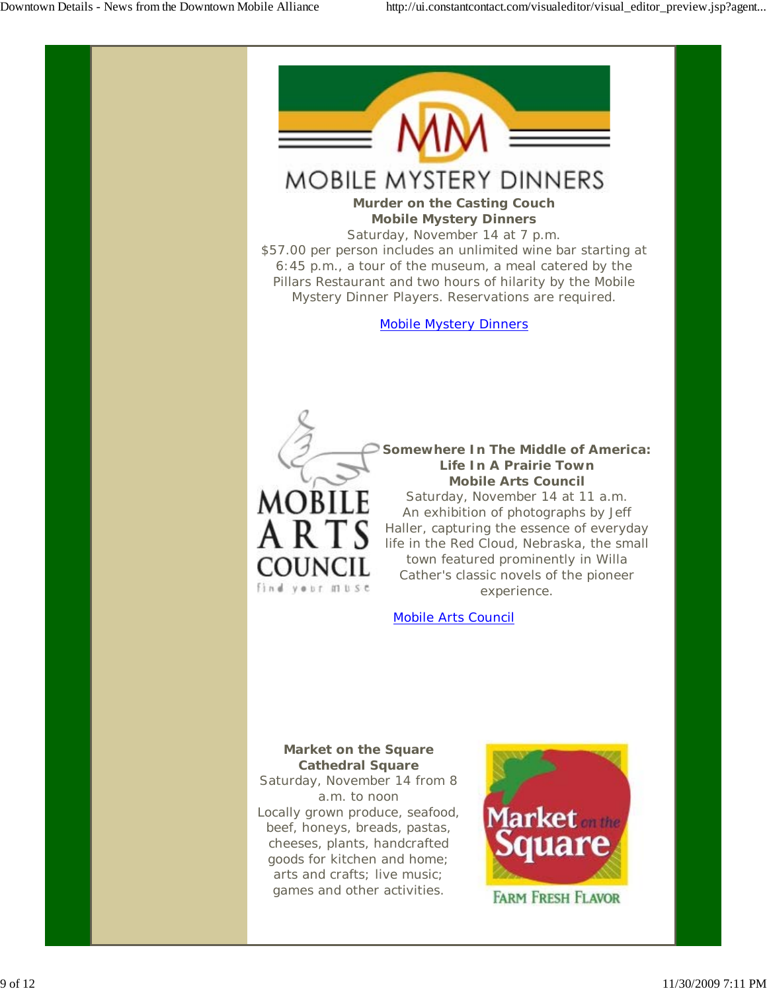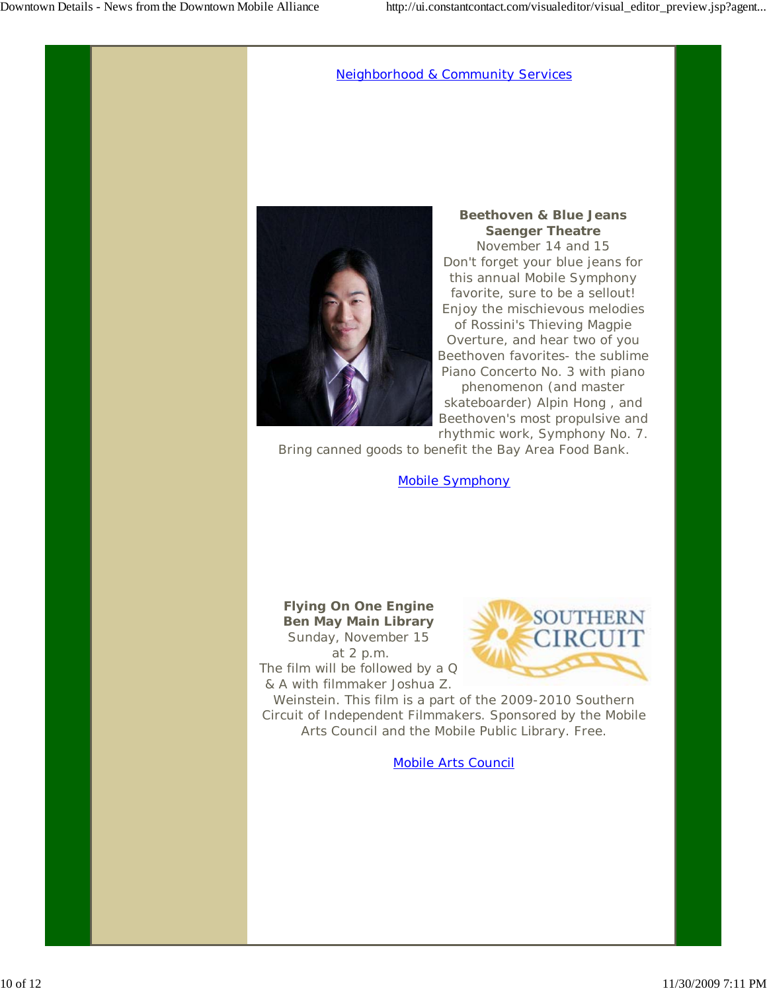#### Neighborhood & Community Services



*Beethoven & Blue Jeans* **Saenger Theatre** November 14 and 15 Don't forget your blue jeans for this annual Mobile Symphony favorite, sure to be a sellout! Enjoy the mischievous melodies of Rossini's Thieving Magpie Overture, and hear two of you Beethoven favorites- the sublime Piano Concerto No. 3 with piano phenomenon (and master skateboarder) Alpin Hong , and Beethoven's most propulsive and rhythmic work, Symphony No. 7.

Bring canned goods to benefit the Bay Area Food Bank.

Mobile Symphony

#### **Flying On One Engine** *Ben May Main Library* Sunday, November 15

 at 2 p.m. The film will be followed by a Q & A with filmmaker Joshua Z.



Weinstein. This film is a part of the 2009-2010 Southern Circuit of Independent Filmmakers. Sponsored by the Mobile Arts Council and the Mobile Public Library. Free.

Mobile Arts Council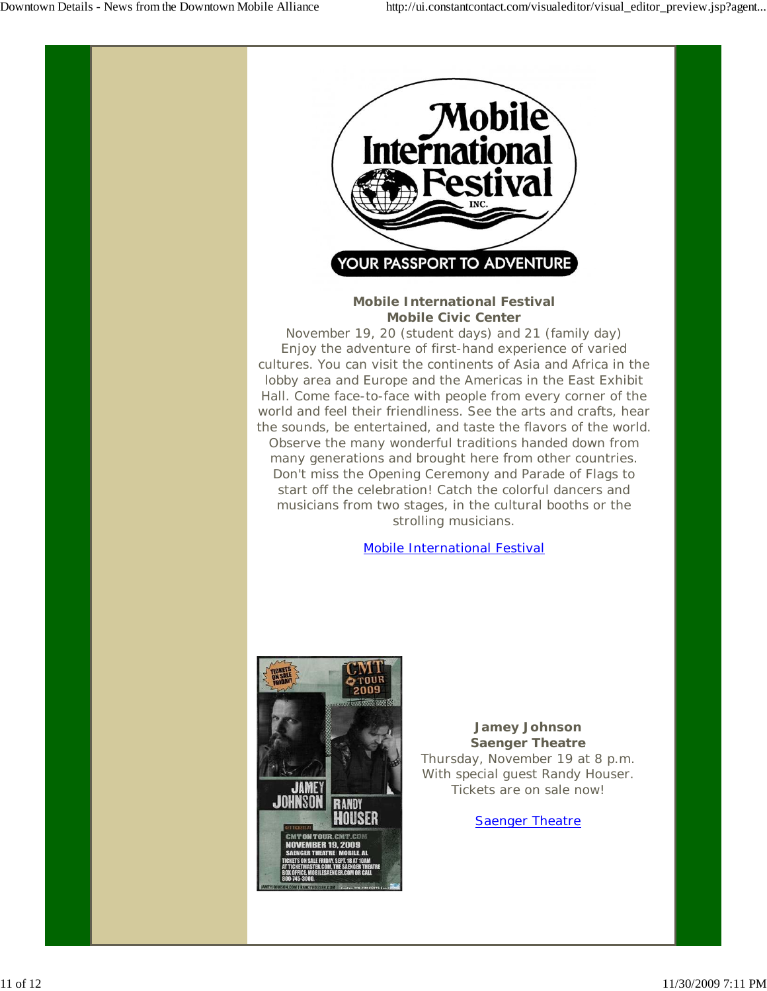

*Mobile International Festival* **Mobile Civic Center**

November 19, 20 (student days) and 21 (family day) Enjoy the adventure of first-hand experience of varied cultures. You can visit the continents of Asia and Africa in the lobby area and Europe and the Americas in the East Exhibit Hall. Come face-to-face with people from every corner of the world and feel their friendliness. See the arts and crafts, hear the sounds, be entertained, and taste the flavors of the world. Observe the many wonderful traditions handed down from many generations and brought here from other countries. Don't miss the Opening Ceremony and Parade of Flags to start off the celebration! Catch the colorful dancers and musicians from two stages, in the cultural booths or the strolling musicians.

#### Mobile International Festival



*Jamey Johnson* **Saenger Theatre** Thursday, November 19 at 8 p.m. With special guest Randy Houser. Tickets are on sale now!

Saenger Theatre